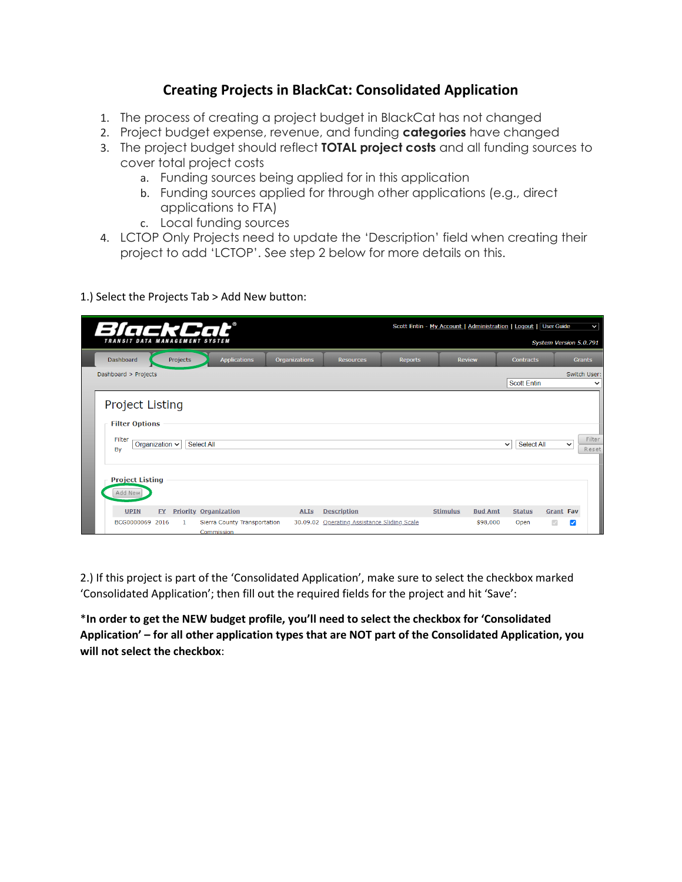## **Creating Projects in BlackCat: Consolidated Application**

- 1. The process of creating a project budget in BlackCat has not changed
- 2. Project budget expense, revenue, and funding **categories** have changed
- 3. The project budget should reflect **TOTAL project costs** and all funding sources to cover total project costs
	- a. Funding sources being applied for in this application
	- b. Funding sources applied for through other applications (e.g., direct applications to FTA)
	- c. Local funding sources
- 4. LCTOP Only Projects need to update the 'Description' field when creating their project to add 'LCTOP'. See step 2 below for more details on this.
- 1.) Select the Projects Tab > Add New button:

| BlackCat®                                                 |                     |          |                                            |               |                                             | Scott Entin - My Account   Administration   Logout   User Guide |                 |                |                    |                        |               | $\vee$       |
|-----------------------------------------------------------|---------------------|----------|--------------------------------------------|---------------|---------------------------------------------|-----------------------------------------------------------------|-----------------|----------------|--------------------|------------------------|---------------|--------------|
| TRANSIT DATA MANAGEMENT SYSTEM                            |                     |          |                                            |               |                                             |                                                                 |                 |                |                    | System Version 5.0.791 |               |              |
| Dashboard                                                 |                     | Projects | <b>Applications</b>                        | Organizations | <b>Resources</b>                            | <b>Reports</b>                                                  | <b>Review</b>   |                | <b>Contracts</b>   |                        | <b>Grants</b> |              |
| Dashboard > Projects                                      |                     |          |                                            |               |                                             |                                                                 |                 |                | <b>Scott Entin</b> |                        | Switch User:  | $\checkmark$ |
| <b>Project Listing</b><br><b>Filter Options</b><br>Filter | Organization $\sim$ |          | Select All                                 |               |                                             |                                                                 |                 | $\checkmark$   | Select All         |                        | $\checkmark$  | Filter       |
| By<br><b>Project Listing</b><br>Add New<br><b>UPIN</b>    | <b>FY</b>           |          | <b>Priority Organization</b>               | <b>ALIS</b>   | <b>Description</b>                          |                                                                 | <b>Stimulus</b> | <b>Bud Amt</b> | <b>Status</b>      | <b>Grant Fav</b>       |               | Reset        |
| BCG0000069 2016                                           |                     |          | Sierra County Transportation<br>Commission |               | 30.09.02 Operating Assistance Sliding Scale |                                                                 |                 | \$98,000       | Open               | $\sqrt{2}$             | ☑             |              |

2.) If this project is part of the 'Consolidated Application', make sure to select the checkbox marked 'Consolidated Application'; then fill out the required fields for the project and hit 'Save':

\***In order to get the NEW budget profile, you'll need to select the checkbox for 'Consolidated Application' – for all other application types that are NOT part of the Consolidated Application, you will not select the checkbox**: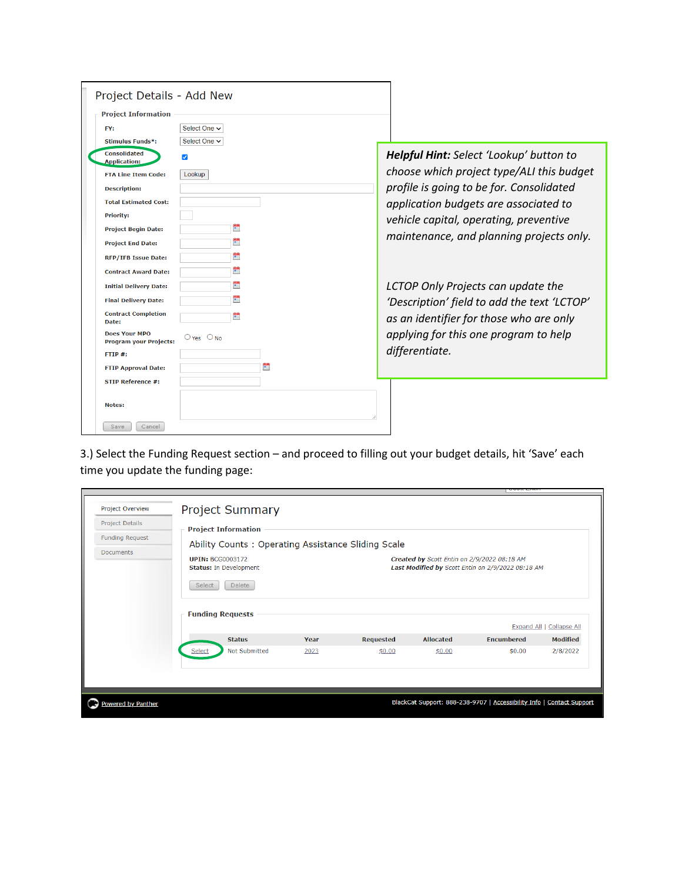| Project Details - Add New                             |                   |                                             |
|-------------------------------------------------------|-------------------|---------------------------------------------|
| <b>Project Information</b>                            |                   |                                             |
| FY:                                                   | Select One $\sim$ |                                             |
| <b>Stimulus Funds*:</b>                               | Select One $\vee$ |                                             |
| <b>Consolidated</b><br><b>Application:</b>            | ✓                 | Helpful Hint: Select 'Lookup' button to     |
| <b>FTA Line Item Code:</b>                            | Lookup            | choose which project type/ALI this budget   |
| <b>Description:</b>                                   |                   | profile is going to be for. Consolidated    |
| <b>Total Estimated Cost:</b>                          |                   | application budgets are associated to       |
| <b>Priority:</b>                                      |                   |                                             |
| <b>Project Begin Date:</b>                            | Ë                 | vehicle capital, operating, preventive      |
| <b>Project End Date:</b>                              | m                 | maintenance, and planning projects only.    |
| <b>RFP/IFB Issue Date:</b>                            | õ.                |                                             |
| <b>Contract Award Date:</b>                           | Ě                 |                                             |
| <b>Initial Delivery Date:</b>                         | m                 | LCTOP Only Projects can update the          |
| <b>Final Delivery Date:</b>                           | Ħ                 | 'Description' field to add the text 'LCTOP' |
| <b>Contract Completion</b><br>Date:                   | Ħ                 | as an identifier for those who are only     |
| <b>Does Your MPO</b><br><b>Program your Projects:</b> | $O$ Yes $O$ No    | applying for this one program to help       |
| FTIP#                                                 |                   | differentiate.                              |
| <b>FTIP Approval Date:</b>                            |                   |                                             |
| <b>STIP Reference #:</b>                              |                   |                                             |
| Notes:                                                |                   |                                             |
| Save<br>Cancel                                        |                   |                                             |

3.) Select the Funding Request section – and proceed to filling out your budget details, hit 'Save' each time you update the funding page:

| <b>Project Details</b><br><b>Funding Request</b> | <b>Project Information</b><br>Ability Counts: Operating Assistance Sliding Scale                        |      |                            |                                             |                                                   |                                        |
|--------------------------------------------------|---------------------------------------------------------------------------------------------------------|------|----------------------------|---------------------------------------------|---------------------------------------------------|----------------------------------------|
| <b>Documents</b>                                 | <b>UPIN: BCG0003172</b><br><b>Status: In Development</b><br>Delete<br>Select<br><b>Funding Requests</b> |      |                            | Created by Scott Entin on 2/9/2022 08:18 AM | Last Modified by Scott Entin on 2/9/2022 08:18 AM |                                        |
|                                                  | <b>Status</b>                                                                                           | Year |                            | <b>Allocated</b>                            | Expand All  <br><b>Fncumbered</b>                 | <b>Collapse All</b><br><b>Modified</b> |
|                                                  | Not Submitted<br>Select                                                                                 | 2023 | <b>Requested</b><br>\$0.00 | \$0.00                                      | \$0.00                                            | 2/8/2022                               |
|                                                  |                                                                                                         |      |                            |                                             |                                                   |                                        |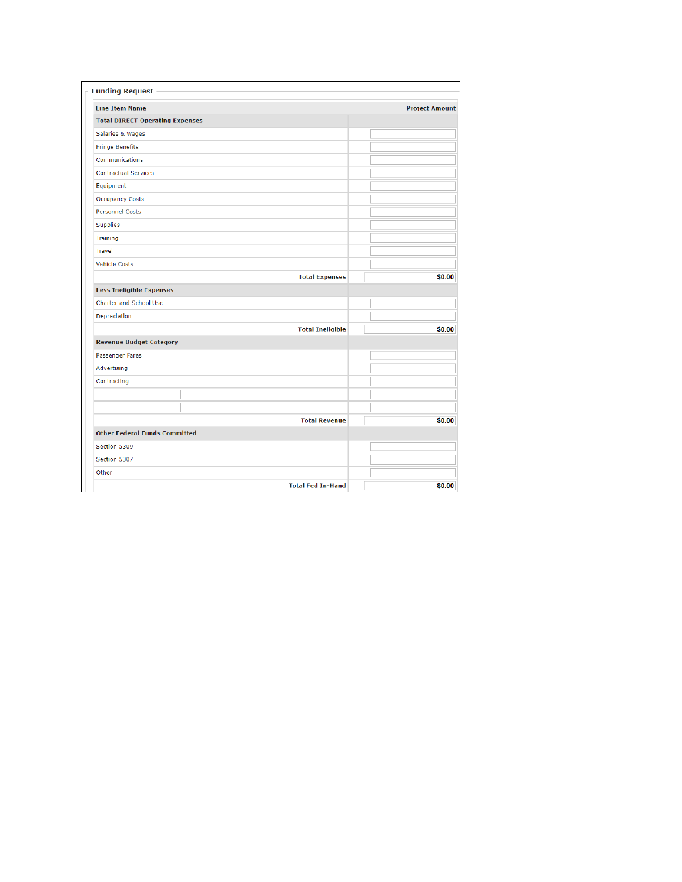| <b>Line Item Name</b>                  | <b>Project Amount</b> |
|----------------------------------------|-----------------------|
| <b>Total DIRECT Operating Expenses</b> |                       |
| Salaries & Wages                       |                       |
| <b>Fringe Benefits</b>                 |                       |
| Communications                         |                       |
| <b>Contractual Services</b>            |                       |
| Equipment                              |                       |
| <b>Occupancy Costs</b>                 |                       |
| Personnel Costs                        |                       |
| <b>Supplies</b>                        |                       |
| <b>Training</b>                        |                       |
| <b>Travel</b>                          |                       |
| <b>Vehicle Costs</b>                   |                       |
| <b>Total Expenses</b>                  | \$0.00                |
| <b>Less Ineligible Expenses</b>        |                       |
| <b>Charter and School Use</b>          |                       |
| Depreciation                           |                       |
| <b>Total Ineligible</b>                | \$0.00                |
| <b>Revenue Budget Category</b>         |                       |
| Passenger Fares                        |                       |
| Advertising                            |                       |
| Contracting                            |                       |
|                                        |                       |
|                                        |                       |
| <b>Total Revenue</b>                   | \$0.00                |
| <b>Other Federal Funds Committed</b>   |                       |
| Section 5309                           |                       |
| Section 5307                           |                       |
| Other                                  |                       |
| <b>Total Fed In-Hand</b>               | \$0.00                |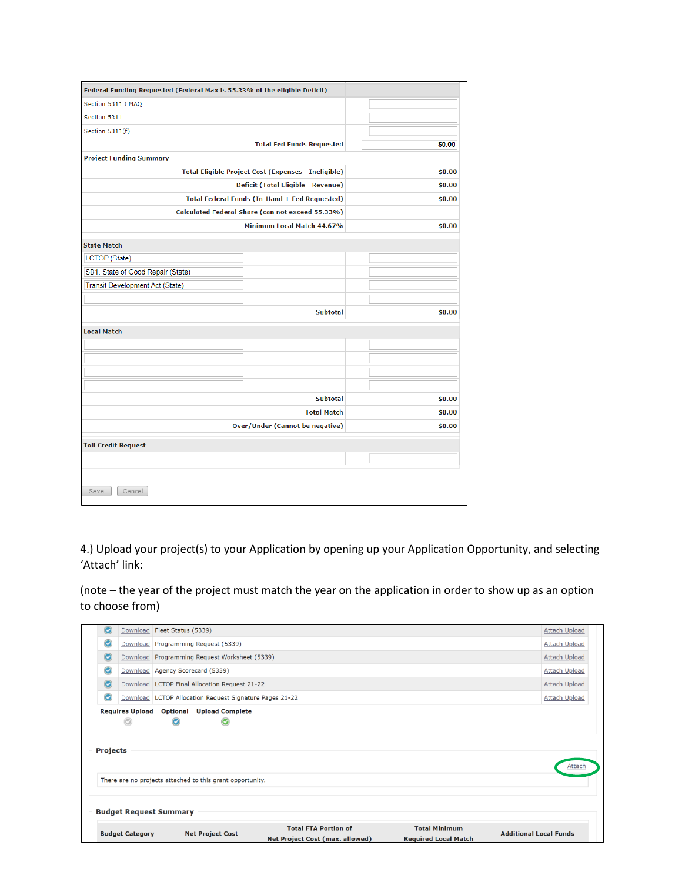| Section 5311 CMAQ<br>Section 5311<br>Section 5311(f)<br><b>Total Fed Funds Requested</b><br><b>Project Funding Summary</b><br>Total Eligible Project Cost (Expenses - Ineligible)<br>Deficit (Total Eligible - Revenue)<br>Total Federal Funds (In-Hand + Fed Requested)<br>Calculated Federal Share (can not exceed 55.33%)<br>Minimum Local Match 44.67%<br><b>State Match</b><br><b>LCTOP</b> (State)<br>SB1. State of Good Repair (State)<br>Transit Development Act (State)<br><b>Subtotal</b><br><b>Local Match</b> | \$0.00<br>\$0.00<br>\$0.00<br>\$0.00<br>\$0.00<br>\$0.00 |
|---------------------------------------------------------------------------------------------------------------------------------------------------------------------------------------------------------------------------------------------------------------------------------------------------------------------------------------------------------------------------------------------------------------------------------------------------------------------------------------------------------------------------|----------------------------------------------------------|
|                                                                                                                                                                                                                                                                                                                                                                                                                                                                                                                           |                                                          |
|                                                                                                                                                                                                                                                                                                                                                                                                                                                                                                                           |                                                          |
|                                                                                                                                                                                                                                                                                                                                                                                                                                                                                                                           |                                                          |
|                                                                                                                                                                                                                                                                                                                                                                                                                                                                                                                           |                                                          |
|                                                                                                                                                                                                                                                                                                                                                                                                                                                                                                                           |                                                          |
|                                                                                                                                                                                                                                                                                                                                                                                                                                                                                                                           |                                                          |
|                                                                                                                                                                                                                                                                                                                                                                                                                                                                                                                           |                                                          |
|                                                                                                                                                                                                                                                                                                                                                                                                                                                                                                                           |                                                          |
|                                                                                                                                                                                                                                                                                                                                                                                                                                                                                                                           |                                                          |
|                                                                                                                                                                                                                                                                                                                                                                                                                                                                                                                           |                                                          |
|                                                                                                                                                                                                                                                                                                                                                                                                                                                                                                                           |                                                          |
|                                                                                                                                                                                                                                                                                                                                                                                                                                                                                                                           |                                                          |
|                                                                                                                                                                                                                                                                                                                                                                                                                                                                                                                           |                                                          |
|                                                                                                                                                                                                                                                                                                                                                                                                                                                                                                                           |                                                          |
|                                                                                                                                                                                                                                                                                                                                                                                                                                                                                                                           |                                                          |
|                                                                                                                                                                                                                                                                                                                                                                                                                                                                                                                           |                                                          |
|                                                                                                                                                                                                                                                                                                                                                                                                                                                                                                                           |                                                          |
|                                                                                                                                                                                                                                                                                                                                                                                                                                                                                                                           |                                                          |
|                                                                                                                                                                                                                                                                                                                                                                                                                                                                                                                           |                                                          |
|                                                                                                                                                                                                                                                                                                                                                                                                                                                                                                                           |                                                          |
|                                                                                                                                                                                                                                                                                                                                                                                                                                                                                                                           |                                                          |
| <b>Subtotal</b>                                                                                                                                                                                                                                                                                                                                                                                                                                                                                                           | \$0.00                                                   |
| <b>Total Match</b>                                                                                                                                                                                                                                                                                                                                                                                                                                                                                                        | \$0.00                                                   |
| Over/Under (Cannot be negative)                                                                                                                                                                                                                                                                                                                                                                                                                                                                                           | \$0.00                                                   |
|                                                                                                                                                                                                                                                                                                                                                                                                                                                                                                                           |                                                          |
| <b>Toll Credit Request</b>                                                                                                                                                                                                                                                                                                                                                                                                                                                                                                |                                                          |
|                                                                                                                                                                                                                                                                                                                                                                                                                                                                                                                           |                                                          |

4.) Upload your project(s) to your Application by opening up your Application Opportunity, and selecting 'Attach' link:

(note – the year of the project must match the year on the application in order to show up as an option to choose from)

|                 |                                    | <b>Budget Request Summary</b>                                                     |  |                      |
|-----------------|------------------------------------|-----------------------------------------------------------------------------------|--|----------------------|
|                 |                                    |                                                                                   |  |                      |
|                 |                                    | There are no projects attached to this grant opportunity.                         |  |                      |
| <b>Projects</b> |                                    |                                                                                   |  | Attach               |
|                 |                                    | O                                                                                 |  |                      |
| $\odot$         | Download<br><b>Requires Upload</b> | LCTOP Allocation Request Signature Pages 21-22<br><b>Optional</b> Upload Complete |  | <b>Attach Upload</b> |
| $\odot$         |                                    | Download   LCTOP Final Allocation Request 21-22                                   |  | <b>Attach Upload</b> |
| $\odot$         | Download                           | Agency Scorecard (5339)                                                           |  | <b>Attach Upload</b> |
| $\odot$         | Download                           | Programming Request Worksheet (5339)                                              |  | <b>Attach Upload</b> |
|                 | Download                           | Programming Request (5339)                                                        |  | Attach Upload        |
| $\odot$         |                                    |                                                                                   |  |                      |